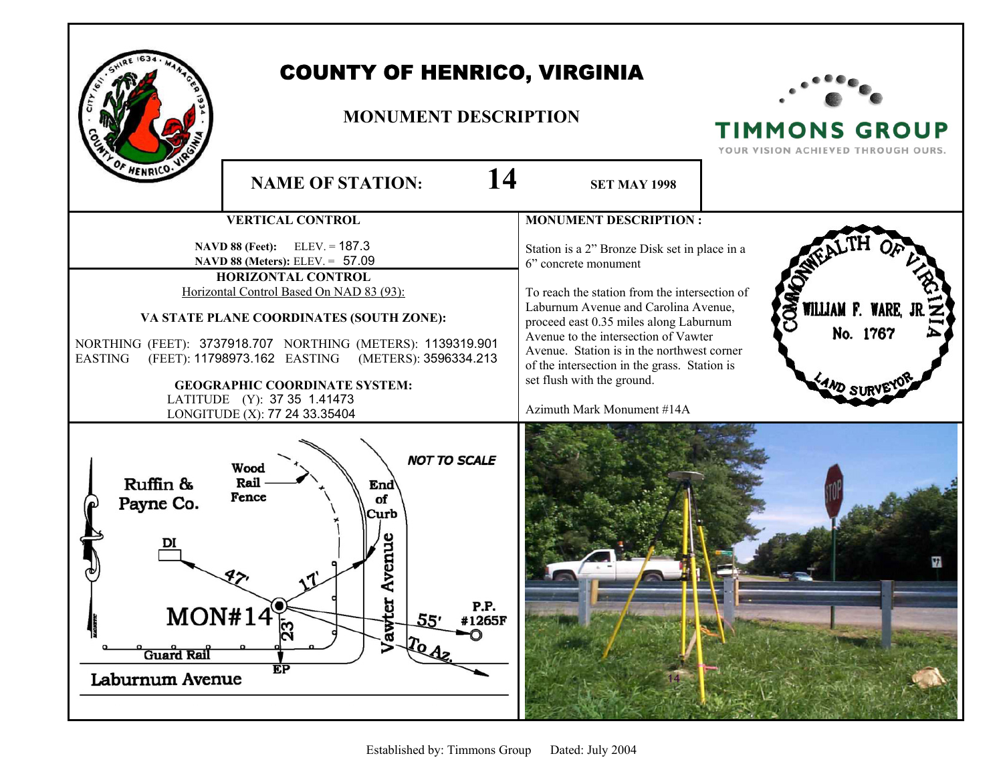

## COUNTY OF HENRICO, VIRGINIA

## **MONUMENT DESCRIPTION**



**TIMMONS GROUP** YOUR VISION ACHIEVED THROUGH OURS.